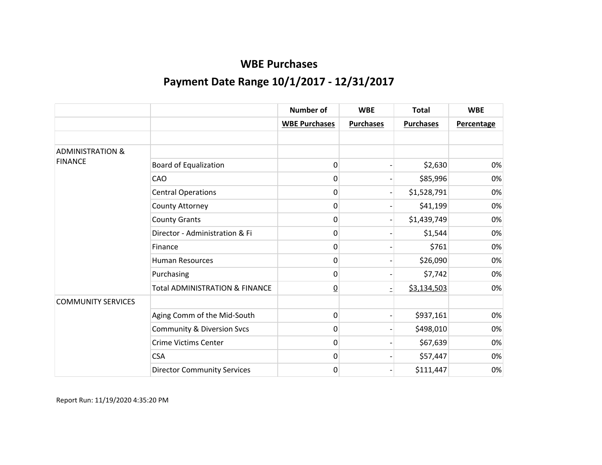|                             |                                           | <b>Number of</b>     | <b>WBE</b>       | <b>Total</b>     | <b>WBE</b>        |
|-----------------------------|-------------------------------------------|----------------------|------------------|------------------|-------------------|
|                             |                                           | <b>WBE Purchases</b> | <b>Purchases</b> | <b>Purchases</b> | <b>Percentage</b> |
|                             |                                           |                      |                  |                  |                   |
| <b>ADMINISTRATION &amp;</b> |                                           |                      |                  |                  |                   |
| <b>FINANCE</b>              | <b>Board of Equalization</b>              | 0                    |                  | \$2,630          | 0%                |
|                             | CAO                                       | 0                    |                  | \$85,996         | 0%                |
|                             | <b>Central Operations</b>                 | 0                    |                  | \$1,528,791      | 0%                |
|                             | County Attorney                           | 0                    |                  | \$41,199         | 0%                |
|                             | <b>County Grants</b>                      | 0                    |                  | \$1,439,749      | 0%                |
|                             | Director - Administration & Fi            | 0                    |                  | \$1,544          | 0%                |
|                             | Finance                                   | 0                    |                  | \$761            | 0%                |
|                             | <b>Human Resources</b>                    | 0                    |                  | \$26,090         | 0%                |
|                             | Purchasing                                | 0                    |                  | \$7,742          | 0%                |
|                             | <b>Total ADMINISTRATION &amp; FINANCE</b> | $\underline{0}$      |                  | \$3,134,503      | 0%                |
| <b>COMMUNITY SERVICES</b>   |                                           |                      |                  |                  |                   |
|                             | Aging Comm of the Mid-South               | 0                    |                  | \$937,161        | 0%                |
|                             | <b>Community &amp; Diversion Svcs</b>     | 0                    |                  | \$498,010        | 0%                |
|                             | <b>Crime Victims Center</b>               | 0                    |                  | \$67,639         | 0%                |
|                             | <b>CSA</b>                                | 0                    |                  | \$57,447         | 0%                |
|                             | <b>Director Community Services</b>        | 0                    |                  | \$111,447        | 0%                |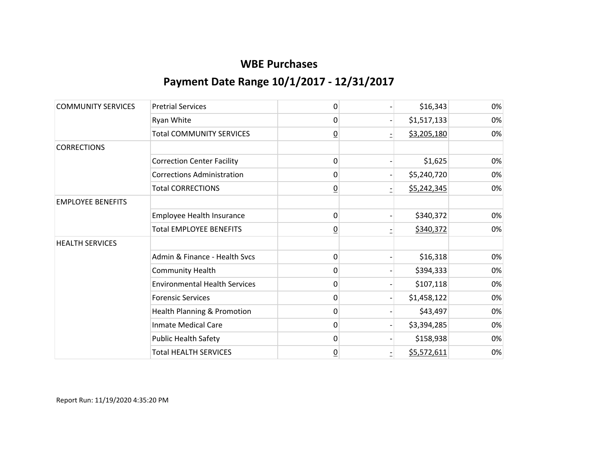| <b>COMMUNITY SERVICES</b> | <b>Pretrial Services</b>             | 0              | \$16,343    | 0% |
|---------------------------|--------------------------------------|----------------|-------------|----|
|                           | Ryan White                           | 0              | \$1,517,133 | 0% |
|                           | <b>Total COMMUNITY SERVICES</b>      | $\overline{0}$ | \$3,205,180 | 0% |
| <b>CORRECTIONS</b>        |                                      |                |             |    |
|                           | <b>Correction Center Facility</b>    | 0              | \$1,625     | 0% |
|                           | <b>Corrections Administration</b>    | 0              | \$5,240,720 | 0% |
|                           | <b>Total CORRECTIONS</b>             | $\overline{0}$ | \$5,242,345 | 0% |
| <b>EMPLOYEE BENEFITS</b>  |                                      |                |             |    |
|                           | <b>Employee Health Insurance</b>     | 0              | \$340,372   | 0% |
|                           | <b>Total EMPLOYEE BENEFITS</b>       | $\overline{0}$ | \$340,372   | 0% |
| <b>HEALTH SERVICES</b>    |                                      |                |             |    |
|                           | Admin & Finance - Health Svcs        | 0              | \$16,318    | 0% |
|                           | <b>Community Health</b>              | 0              | \$394,333   | 0% |
|                           | <b>Environmental Health Services</b> | 0              | \$107,118   | 0% |
|                           | <b>Forensic Services</b>             | 0              | \$1,458,122 | 0% |
|                           | Health Planning & Promotion          | 0              | \$43,497    | 0% |
|                           | <b>Inmate Medical Care</b>           | 0              | \$3,394,285 | 0% |
|                           | <b>Public Health Safety</b>          | 0              | \$158,938   | 0% |
|                           | <b>Total HEALTH SERVICES</b>         | $\overline{0}$ | \$5,572,611 | 0% |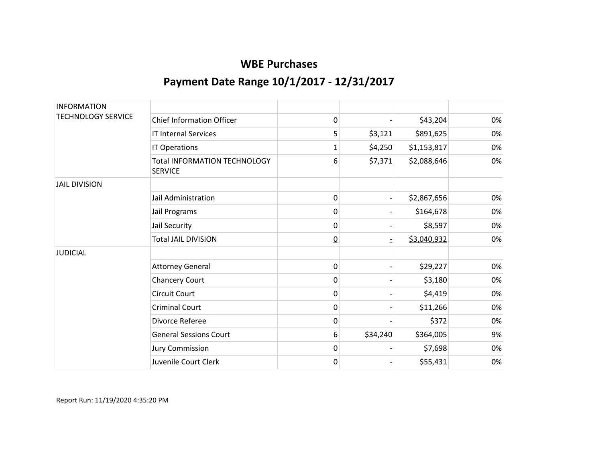| <b>INFORMATION</b>        |                                                       |                 |          |             |    |
|---------------------------|-------------------------------------------------------|-----------------|----------|-------------|----|
| <b>TECHNOLOGY SERVICE</b> | <b>Chief Information Officer</b>                      | 0               |          | \$43,204    | 0% |
|                           | <b>IT Internal Services</b>                           | 5               | \$3,121  | \$891,625   | 0% |
|                           | IT Operations                                         | 1               | \$4,250  | \$1,153,817 | 0% |
|                           | <b>Total INFORMATION TECHNOLOGY</b><br><b>SERVICE</b> | <u>6</u>        | \$7,371  | \$2,088,646 | 0% |
| <b>JAIL DIVISION</b>      |                                                       |                 |          |             |    |
|                           | Jail Administration                                   | 0               |          | \$2,867,656 | 0% |
|                           | Jail Programs                                         | 0               |          | \$164,678   | 0% |
|                           | Jail Security                                         | 0               |          | \$8,597     | 0% |
|                           | <b>Total JAIL DIVISION</b>                            | $\underline{0}$ |          | \$3,040,932 | 0% |
| <b>JUDICIAL</b>           |                                                       |                 |          |             |    |
|                           | <b>Attorney General</b>                               | 0               |          | \$29,227    | 0% |
|                           | <b>Chancery Court</b>                                 | 0               |          | \$3,180     | 0% |
|                           | Circuit Court                                         | 0               |          | \$4,419     | 0% |
|                           | <b>Criminal Court</b>                                 | 0               |          | \$11,266    | 0% |
|                           | Divorce Referee                                       | 0               |          | \$372       | 0% |
|                           | <b>General Sessions Court</b>                         | 6               | \$34,240 | \$364,005   | 9% |
|                           | <b>Jury Commission</b>                                | 0               |          | \$7,698     | 0% |
|                           | Juvenile Court Clerk                                  | 0               |          | \$55,431    | 0% |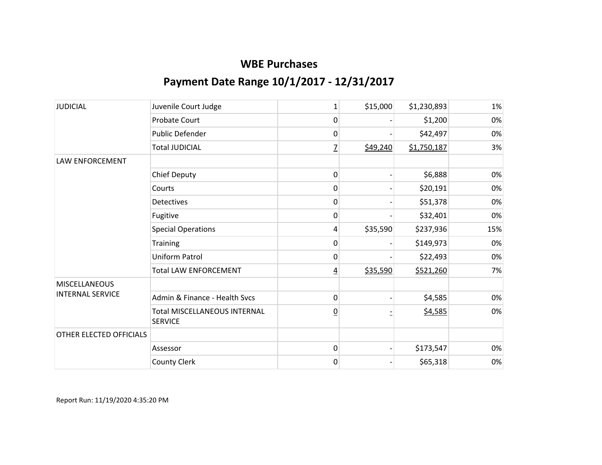| <b>JUDICIAL</b>         | Juvenile Court Judge                           | $\mathbf{1}$   | \$15,000 | \$1,230,893 | 1%  |
|-------------------------|------------------------------------------------|----------------|----------|-------------|-----|
|                         | <b>Probate Court</b>                           | 0              |          | \$1,200     | 0%  |
|                         | Public Defender                                | 0              |          | \$42,497    | 0%  |
|                         | <b>Total JUDICIAL</b>                          | 7              | \$49,240 | \$1,750,187 | 3%  |
| LAW ENFORCEMENT         |                                                |                |          |             |     |
|                         | <b>Chief Deputy</b>                            | 0              |          | \$6,888     | 0%  |
|                         | Courts                                         | 0              |          | \$20,191    | 0%  |
|                         | Detectives                                     | 0              |          | \$51,378    | 0%  |
|                         | Fugitive                                       | 0              |          | \$32,401    | 0%  |
|                         | <b>Special Operations</b>                      | 4              | \$35,590 | \$237,936   | 15% |
|                         | Training                                       | 0              |          | \$149,973   | 0%  |
|                         | <b>Uniform Patrol</b>                          | 0              |          | \$22,493    | 0%  |
|                         | <b>Total LAW ENFORCEMENT</b>                   | 4              | \$35,590 | \$521,260   | 7%  |
| <b>MISCELLANEOUS</b>    |                                                |                |          |             |     |
| <b>INTERNAL SERVICE</b> | Admin & Finance - Health Svcs                  | 0              |          | \$4,585     | 0%  |
|                         | Total MISCELLANEOUS INTERNAL<br><b>SERVICE</b> | $\overline{0}$ |          | \$4,585     | 0%  |
| OTHER ELECTED OFFICIALS |                                                |                |          |             |     |
|                         | Assessor                                       | 0              |          | \$173,547   | 0%  |
|                         | <b>County Clerk</b>                            | 0              |          | \$65,318    | 0%  |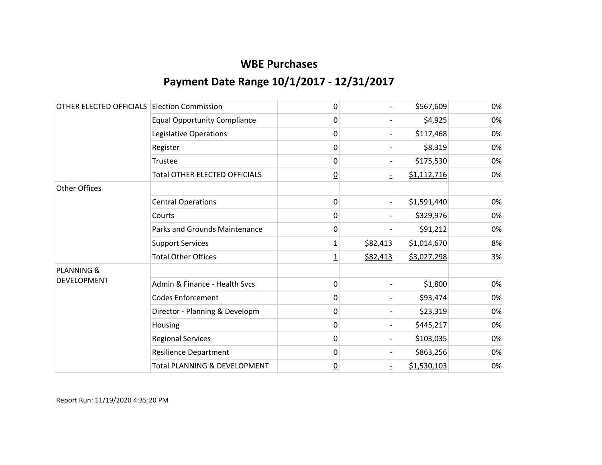| OTHER ELECTED OFFICIALS | <b>Election Commission</b>              | 0               |          | \$567,609   | 0% |
|-------------------------|-----------------------------------------|-----------------|----------|-------------|----|
|                         | <b>Equal Opportunity Compliance</b>     | 0               |          | \$4,925     | 0% |
|                         | Legislative Operations                  | 0               |          | \$117,468   | 0% |
|                         | Register                                | $\mathbf{0}$    |          | \$8,319     | 0% |
|                         | Trustee                                 | $\mathbf{0}$    |          | \$175,530   | 0% |
|                         | <b>Total OTHER ELECTED OFFICIALS</b>    | $\underline{0}$ |          | \$1,112,716 | 0% |
| <b>Other Offices</b>    |                                         |                 |          |             |    |
|                         | <b>Central Operations</b>               | 0               |          | \$1,591,440 | 0% |
|                         | Courts                                  | 0               |          | \$329,976   | 0% |
|                         | Parks and Grounds Maintenance           | 0               |          | \$91,212    | 0% |
|                         | <b>Support Services</b>                 | 1               | \$82,413 | \$1,014,670 | 8% |
|                         | <b>Total Other Offices</b>              | 1               | \$82,413 | \$3,027,298 | 3% |
| <b>PLANNING &amp;</b>   |                                         |                 |          |             |    |
| <b>DEVELOPMENT</b>      | Admin & Finance - Health Svcs           | 0               |          | \$1,800     | 0% |
|                         | <b>Codes Enforcement</b>                | 0               |          | \$93,474    | 0% |
|                         | Director - Planning & Developm          | 0               |          | \$23,319    | 0% |
|                         | Housing                                 | 0               |          | \$445,217   | 0% |
|                         | <b>Regional Services</b>                | 0               |          | \$103,035   | 0% |
|                         | <b>Resilience Department</b>            | 0               |          | \$863,256   | 0% |
|                         | <b>Total PLANNING &amp; DEVELOPMENT</b> | $\underline{0}$ |          | \$1,530,103 | 0% |